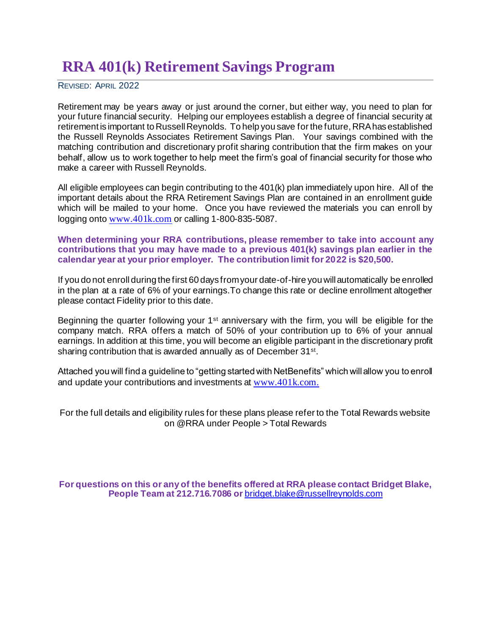# **RRA 401(k) Retirement Savings Program**

REVISED: APRIL 2022

Retirement may be years away or just around the corner, but either way, you need to plan for your future financial security. Helping our employees establish a degree of financial security at retirement is important to Russell Reynolds. To help you save for the future, RRA has established the Russell Reynolds Associates Retirement Savings Plan. Your savings combined with the matching contribution and discretionary profit sharing contribution that the firm makes on your behalf, allow us to work together to help meet the firm's goal of financial security for those who make a career with Russell Reynolds.

All eligible employees can begin contributing to the 401(k) plan immediately upon hire. All of the important details about the RRA Retirement Savings Plan are contained in an enrollment guide which will be mailed to your home. Once you have reviewed the materials you can enroll by logging onto [www.401k.com](http://www.401k.com/) or calling 1-800-835-5087.

### **When determining your RRA contributions, please remember to take into account any contributions that you may have made to a previous 401(k) savings plan earlier in the calendar year at your prior employer. The contribution limit for 2022 is \$20,500.**

If you do not enroll during the first 60 days from your date-of-hire you will automatically be enrolled in the plan at a rate of 6% of your earnings.To change this rate or decline enrollment altogether please contact Fidelity prior to this date.

Beginning the quarter following your 1<sup>st</sup> anniversary with the firm, you will be eligible for the company match. RRA offers a match of 50% of your contribution up to 6% of your annual earnings. In addition at this time, you will become an eligible participant in the discretionary profit sharing contribution that is awarded annually as of December 31<sup>st</sup>.

Attached you will find a guideline to "getting started with NetBenefits" which will allow you to enroll and update your contributions and investments at [www.401k.com](http://www.401k.com/).

For the full details and eligibility rules for these plans please refer to the Total Rewards website on @RRA under People > Total Rewards

**For questions on this or any of the benefits offered at RRA please contact Bridget Blake, People Team at 212.716.7086 or** [bridget.blake@russellreynolds.com](mailto:bridget.blake@russellreynolds.com)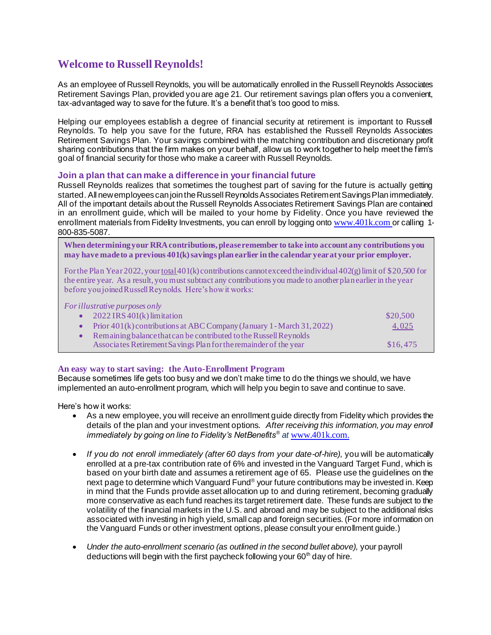# **Welcome to Russell Reynolds!**

As an employee of Russell Reynolds, you will be automatically enrolled in the Russell Reynolds Associates Retirement Savings Plan, provided you are age 21. Our retirement savings plan offers you a convenient, tax-advantaged way to save for the future. It's a benefit that's too good to miss.

Helping our employees establish a degree of financial security at retirement is important to Russell Reynolds. To help you save for the future, RRA has established the Russell Reynolds Associates Retirement Savings Plan. Your savings combined with the matching contribution and discretionary profit sharing contributions that the firm makes on your behalf, allow us to work together to help meet the firm's goal of financial security for those who make a career with Russell Reynolds.

#### **Join a plan that can make a difference in your financial future**

Russell Reynolds realizes that sometimes the toughest part of saving for the future is actually getting started. All new employees can join the Russell Reynolds Associates Retirement Savings Plan immediately. All of the important details about the Russell Reynolds Associates Retirement Savings Plan are contained in an enrollment guide, which will be mailed to your home by Fidelity. Once you have reviewed the enrollment materials from Fidelity Investments, you can enroll by logging onto [www.401k.com](http://www.401k.com/) or calling 1-800-835-5087.

**When determining your RRA contributions, please remember to take into account any contributions you may have made to a previous 401(k) savings plan earlier in the calendar year at your prior employer.**

For the Plan Year 2022, your total 401(k) contributions cannot exceed the individual 402(g) limit of \$20,500 for the entire year. As a result, you must subtract any contributions you made to another plan earlier in the year before you joined Russell Reynolds. Here's how it works:

#### *For illustrative purposes only*

| $2022$ IRS 401(k) limitation                                               | \$20,500          |
|----------------------------------------------------------------------------|-------------------|
| • Prior $401(k)$ contributions at ABC Company (January 1 - March 31, 2022) | $\frac{4,025}{ }$ |
| Remaining balance that can be contributed to the Russell Reynolds          |                   |
| Associates Retirement Savings Plan for the remainder of the year           | \$16,475          |

#### **An easy way to start saving: the Auto-Enrollment Program**

Because sometimes life gets too busy and we don't make time to do the things we should, we have implemented an auto-enrollment program, which will help you begin to save and continue to save.

Here's how it works:

- As a new employee, you will receive an enrollment guide directly from Fidelity which provides the details of the plan and your investment options. *After receiving this information, you may enroll immediately by going on line to Fidelity's NetBenefits® at* [www.401k.com](http://www.401k.com/).
- If you do not enroll immediately (after 60 days from your date-of-hire), you will be automatically enrolled at a pre-tax contribution rate of 6% and invested in the Vanguard Target Fund, which is based on your birth date and assumes a retirement age of 65. Please use the guidelines on the next page to determine which Vanguard Fund® your future contributions may be invested in. Keep in mind that the Funds provide asset allocation up to and during retirement, becoming gradually more conservative as each fund reaches its target retirement date. These funds are subject to the volatility of the financial markets in the U.S. and abroad and may be subject to the additional risks associated with investing in high yield, small cap and foreign securities. (For more information on the Vanguard Funds or other investment options, please consult your enrollment guide.)
- *Under the auto-enrollment scenario (as outlined in the second bullet above),* your payroll deductions will begin with the first paycheck following your  $60<sup>th</sup>$  day of hire.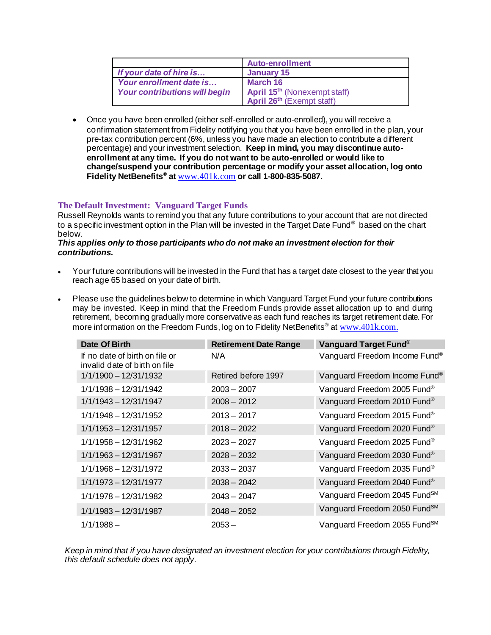|                                      | <b>Auto-enrollment</b>                   |
|--------------------------------------|------------------------------------------|
| If your date of hire is              | January 15                               |
| Your enrollment date is              | March 16                                 |
| <b>Your contributions will begin</b> | April 15 <sup>th</sup> (Nonexempt staff) |
|                                      | April 26 <sup>th</sup> (Exempt staff)    |

• Once you have been enrolled (either self-enrolled or auto-enrolled), you will receive a confirmation statement from Fidelity notifying you that you have been enrolled in the plan, your pre-tax contribution percent (6%, unless you have made an election to contribute a different percentage) and your investment selection. **Keep in mind, you may discontinue autoenrollment at any time. If you do not want to be auto-enrolled or would like to change/suspend your contribution percentage or modify your asset allocation, log onto Fidelity NetBenefits® at** [www.401k.com](http://www.401k.com/) **or call 1-800-835-5087.**

## **The Default Investment: Vanguard Target Funds**

Russell Reynolds wants to remind you that any future contributions to your account that are not directed to a specific investment option in the Plan will be invested in the Target Date Fund® based on the chart below.

#### *This applies only to those participants who do not make an investment election for their contributions.*

- Your future contributions will be invested in the Fund that has a target date closest to the year that you reach age 65 based on your date of birth.
- Please use the guidelines below to determine in which Vanguard Target Fund your future contributions may be invested. Keep in mind that the Freedom Funds provide asset allocation up to and during retirement, becoming gradually more conservative as each fund reaches its target retirement date. For more information on the Freedom Funds, log on to Fidelity NetBenefits<sup>®</sup> at [www.401k.com](http://www.401k.com/).

| Date Of Birth                                                   | <b>Retirement Date Range</b> | Vanguard Target Fund <sup>®</sup>        |
|-----------------------------------------------------------------|------------------------------|------------------------------------------|
| If no date of birth on file or<br>invalid date of birth on file | N/A                          | Vanguard Freedom Income Fund®            |
| 1/1/1900 - 12/31/1932                                           | Retired before 1997          | Vanguard Freedom Income Fund®            |
| 1/1/1938 - 12/31/1942                                           | $2003 - 2007$                | Vanguard Freedom 2005 Fund®              |
| $1/1/1943 - 12/31/1947$                                         | $2008 - 2012$                | Vanguard Freedom 2010 Fund®              |
| $1/1/1948 - 12/31/1952$                                         | $2013 - 2017$                | Vanguard Freedom 2015 Fund®              |
| 1/1/1953 - 12/31/1957                                           | $2018 - 2022$                | Vanguard Freedom 2020 Fund®              |
| 1/1/1958 - 12/31/1962                                           | $2023 - 2027$                | Vanguard Freedom 2025 Fund®              |
| $1/1/1963 - 12/31/1967$                                         | $2028 - 2032$                | Vanguard Freedom 2030 Fund®              |
| 1/1/1968 - 12/31/1972                                           | $2033 - 2037$                | Vanguard Freedom 2035 Fund®              |
| 1/1/1973 - 12/31/1977                                           | $2038 - 2042$                | Vanguard Freedom 2040 Fund®              |
| 1/1/1978 - 12/31/1982                                           | $2043 - 2047$                | Vanguard Freedom 2045 Fund <sup>SM</sup> |
| 1/1/1983 - 12/31/1987                                           | $2048 - 2052$                | Vanguard Freedom 2050 Fund <sup>SM</sup> |
| $1/1/1988 -$                                                    | $2053 -$                     | Vanguard Freedom 2055 Fund <sup>SM</sup> |

*Keep in mind that if you have designated an investment election for your contributions through Fidelity, this default schedule does not apply.*